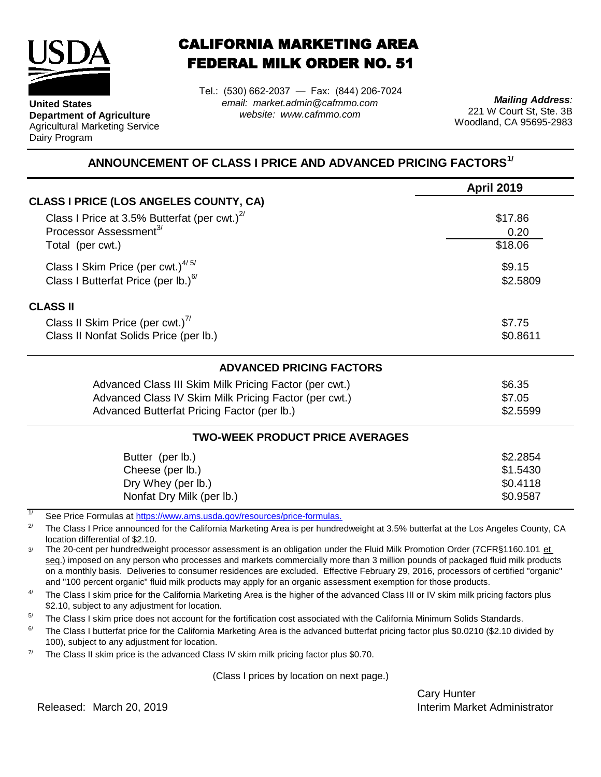

**United States**

Dairy Program

**Department of Agriculture** Agricultural Marketing Service

## CALIFORNIA MARKETING AREA FEDERAL MILK ORDER NO. 51

Tel.: (530) 662-2037 — Fax: (844) 206-7024 *email: market.admin@cafmmo.com website: www.cafmmo.com*

*Mailing Address:* 221 W Court St, Ste. 3B Woodland, CA 95695-2983

## **ANNOUNCEMENT OF CLASS I PRICE AND ADVANCED PRICING FACTORS1/**

|                                                                                | <b>April 2019</b> |  |  |
|--------------------------------------------------------------------------------|-------------------|--|--|
| CLASS I PRICE (LOS ANGELES COUNTY, CA)                                         |                   |  |  |
| Class I Price at 3.5% Butterfat (per cwt.) $2^{7}$                             | \$17.86           |  |  |
| Processor Assessment <sup>3/</sup>                                             | 0.20              |  |  |
| Total (per cwt.)                                                               | \$18.06           |  |  |
| Class I Skim Price (per cwt.) $4/5/$                                           | \$9.15            |  |  |
| Class I Butterfat Price (per lb.) $^{6/}$<br>\$2.5809                          |                   |  |  |
| <b>CLASS II</b>                                                                |                   |  |  |
| Class II Skim Price (per cwt.) <sup>77</sup>                                   | \$7.75            |  |  |
| Class II Nonfat Solids Price (per lb.)                                         | \$0.8611          |  |  |
| <b>ADVANCED PRICING FACTORS</b>                                                |                   |  |  |
| Advanced Class III Skim Milk Pricing Factor (per cwt.)                         | \$6.35            |  |  |
| Advanced Class IV Skim Milk Pricing Factor (per cwt.)                          | \$7.05            |  |  |
| Advanced Butterfat Pricing Factor (per lb.)                                    | \$2.5599          |  |  |
| <b>TWO-WEEK PRODUCT PRICE AVERAGES</b>                                         |                   |  |  |
| Butter (per lb.)                                                               | \$2.2854          |  |  |
| Cheese (per lb.)                                                               | \$1.5430          |  |  |
| Dry Whey (per lb.)                                                             | \$0.4118          |  |  |
| Nonfat Dry Milk (per lb.)                                                      | \$0.9587          |  |  |
| 1/<br>See Dries Fermules at https://www.ams.usdo.gov/resequesce/prise fermules |                   |  |  |

[See Price Formulas at h](https://www.ams.usda.gov/resources/price-formulas)ttps://www.ams.usda.gov/resources/price-formulas.

2/ The Class I Price announced for the California Marketing Area is per hundredweight at 3.5% butterfat at the Los Angeles County, CA location differential of \$2.10.

3/ The 20-cent per hundredweight processor assessment is an obligation under the Fluid Milk Promotion Order (7CFR§1160.101 et seq.) imposed on any person who processes and markets commercially more than 3 million pounds of packaged fluid milk products on a monthly basis. Deliveries to consumer residences are excluded. Effective February 29, 2016, processors of certified "organic" and "100 percent organic" fluid milk products may apply for an organic assessment exemption for those products.

4/ The Class I skim price for the California Marketing Area is the higher of the advanced Class III or IV skim milk pricing factors plus \$2.10, subject to any adjustment for location.

5/ The Class I skim price does not account for the fortification cost associated with the California Minimum Solids Standards.

6/ The Class I butterfat price for the California Marketing Area is the advanced butterfat pricing factor plus \$0.0210 (\$2.10 divided by 100), subject to any adjustment for location.

7/ The Class II skim price is the advanced Class IV skim milk pricing factor plus \$0.70.

(Class I prices by location on next page.)

Cary Hunter Released: Interim Market Administrator March 20, 2019